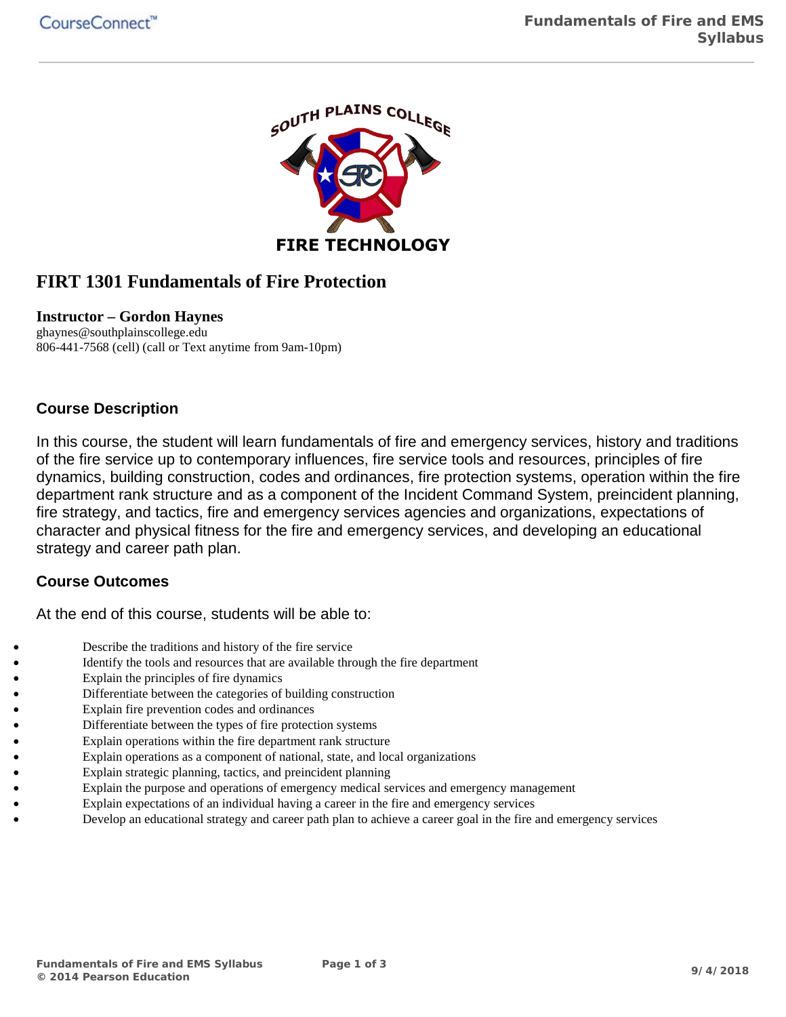

# **FIRT 1301 Fundamentals of Fire Protection**

#### **Instructor – Gordon Haynes**

ghaynes@southplainscollege.edu 806-441-7568 (cell) (call or Text anytime from 9am-10pm)

### **Course Description**

In this course, the student will learn fundamentals of fire and emergency services, history and traditions of the fire service up to contemporary influences, fire service tools and resources, principles of fire dynamics, building construction, codes and ordinances, fire protection systems, operation within the fire department rank structure and as a component of the Incident Command System, preincident planning, fire strategy, and tactics, fire and emergency services agencies and organizations, expectations of character and physical fitness for the fire and emergency services, and developing an educational strategy and career path plan.

#### **Course Outcomes**

At the end of this course, students will be able to:

- Describe the traditions and history of the fire service
- Identify the tools and resources that are available through the fire department
- Explain the principles of fire dynamics
- Differentiate between the categories of building construction
- Explain fire prevention codes and ordinances
- Differentiate between the types of fire protection systems
- Explain operations within the fire department rank structure
- Explain operations as a component of national, state, and local organizations
- Explain strategic planning, tactics, and preincident planning
- Explain the purpose and operations of emergency medical services and emergency management
- Explain expectations of an individual having a career in the fire and emergency services
- Develop an educational strategy and career path plan to achieve a career goal in the fire and emergency services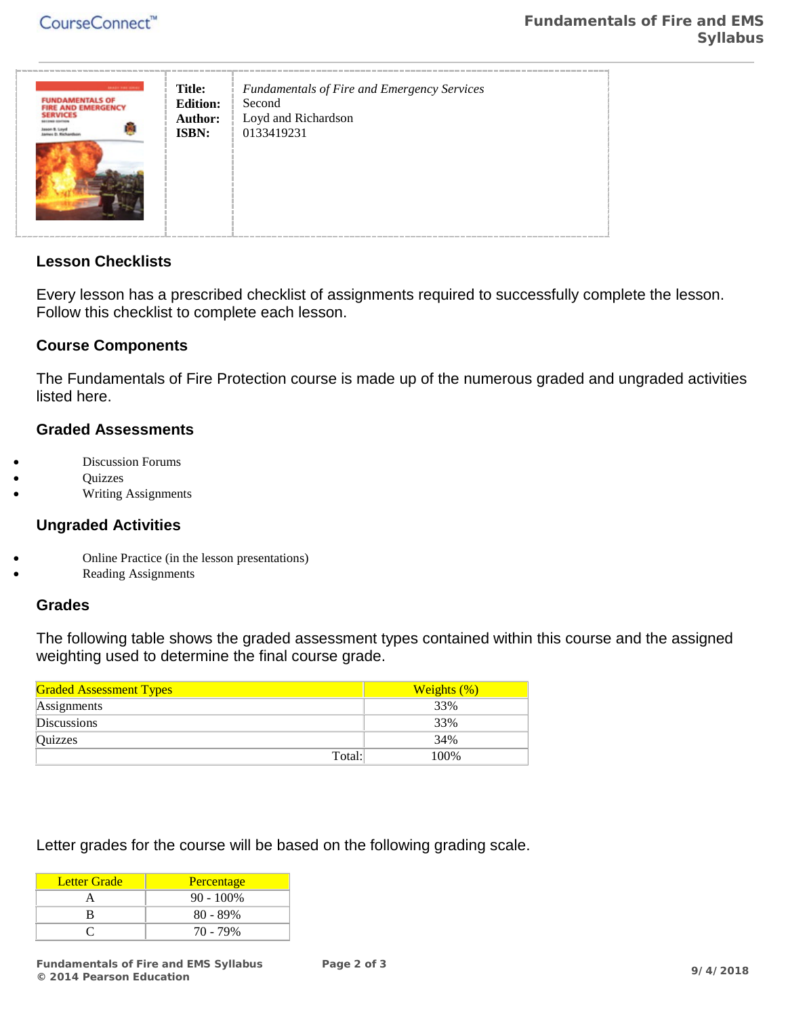

## **Lesson Checklists**

Every lesson has a prescribed checklist of assignments required to successfully complete the lesson. Follow this checklist to complete each lesson.

### **Course Components**

The Fundamentals of Fire Protection course is made up of the numerous graded and ungraded activities listed here.

### **Graded Assessments**

- Discussion Forums
- Quizzes
- Writing Assignments

#### **Ungraded Activities**

- Online Practice (in the lesson presentations)
- Reading Assignments

#### **Grades**

The following table shows the graded assessment types contained within this course and the assigned weighting used to determine the final course grade.

| <b>Graded Assessment Types</b> | Weights $(\%)$ |
|--------------------------------|----------------|
| Assignments                    | 33%            |
| <b>Discussions</b>             | 33%            |
| Quizzes                        | 34%            |
| Total:                         | 100%           |

Letter grades for the course will be based on the following grading scale.

| Letter Grade | Percentage   |
|--------------|--------------|
|              | $90 - 100\%$ |
| R            | $80 - 89\%$  |
|              | 70 - 79%     |